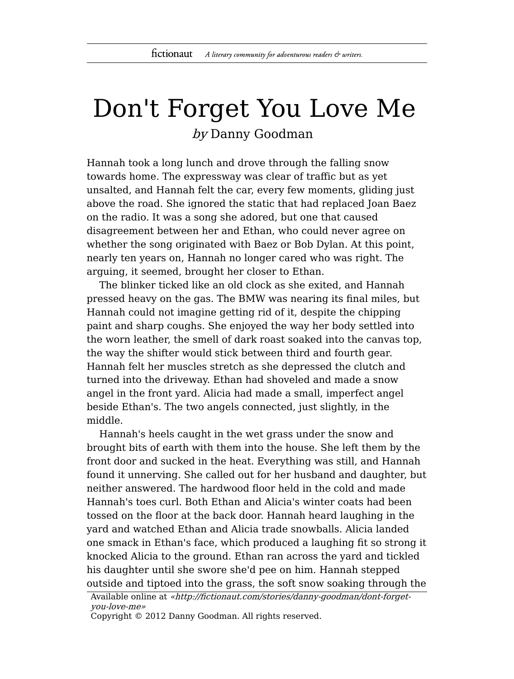## Don't Forget You Love Me by Danny Goodman

Hannah took a long lunch and drove through the falling snow towards home. The expressway was clear of traffic but as yet unsalted, and Hannah felt the car, every few moments, gliding just above the road. She ignored the static that had replaced Joan Baez on the radio. It was a song she adored, but one that caused disagreement between her and Ethan, who could never agree on whether the song originated with Baez or Bob Dylan. At this point, nearly ten years on, Hannah no longer cared who was right. The arguing, it seemed, brought her closer to Ethan.

The blinker ticked like an old clock as she exited, and Hannah pressed heavy on the gas. The BMW was nearing its final miles, but Hannah could not imagine getting rid of it, despite the chipping paint and sharp coughs. She enjoyed the way her body settled into the worn leather, the smell of dark roast soaked into the canvas top, the way the shifter would stick between third and fourth gear. Hannah felt her muscles stretch as she depressed the clutch and turned into the driveway. Ethan had shoveled and made a snow angel in the front yard. Alicia had made a small, imperfect angel beside Ethan's. The two angels connected, just slightly, in the middle.

Hannah's heels caught in the wet grass under the snow and brought bits of earth with them into the house. She left them by the front door and sucked in the heat. Everything was still, and Hannah found it unnerving. She called out for her husband and daughter, but neither answered. The hardwood floor held in the cold and made Hannah's toes curl. Both Ethan and Alicia's winter coats had been tossed on the floor at the back door. Hannah heard laughing in the yard and watched Ethan and Alicia trade snowballs. Alicia landed one smack in Ethan's face, which produced a laughing fit so strong it knocked Alicia to the ground. Ethan ran across the yard and tickled his daughter until she swore she'd pee on him. Hannah stepped outside and tiptoed into the grass, the soft snow soaking through the

Available online at «http://fictionaut.com/stories/danny-goodman/dont-forgetyou-love-me»

Copyright © 2012 Danny Goodman. All rights reserved.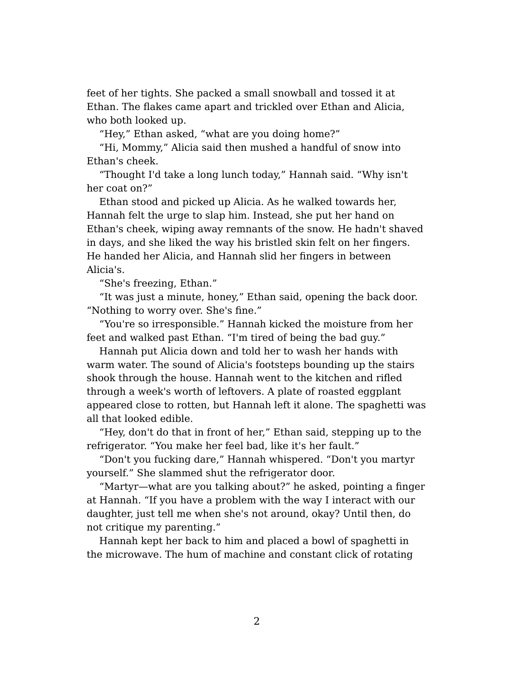feet of her tights. She packed a small snowball and tossed it at Ethan. The flakes came apart and trickled over Ethan and Alicia, who both looked up.

"Hey," Ethan asked, "what are you doing home?"

"Hi, Mommy," Alicia said then mushed a handful of snow into Ethan's cheek.

"Thought I'd take a long lunch today," Hannah said. "Why isn't her coat on?"

Ethan stood and picked up Alicia. As he walked towards her, Hannah felt the urge to slap him. Instead, she put her hand on Ethan's cheek, wiping away remnants of the snow. He hadn't shaved in days, and she liked the way his bristled skin felt on her fingers. He handed her Alicia, and Hannah slid her fingers in between Alicia's.

"She's freezing, Ethan."

"It was just a minute, honey," Ethan said, opening the back door. "Nothing to worry over. She's fine."

"You're so irresponsible." Hannah kicked the moisture from her feet and walked past Ethan. "I'm tired of being the bad guy."

Hannah put Alicia down and told her to wash her hands with warm water. The sound of Alicia's footsteps bounding up the stairs shook through the house. Hannah went to the kitchen and rifled through a week's worth of leftovers. A plate of roasted eggplant appeared close to rotten, but Hannah left it alone. The spaghetti was all that looked edible.

"Hey, don't do that in front of her," Ethan said, stepping up to the refrigerator. "You make her feel bad, like it's her fault."

"Don't you fucking dare," Hannah whispered. "Don't you martyr yourself." She slammed shut the refrigerator door.

"Martyr—what are you talking about?" he asked, pointing a finger at Hannah. "If you have a problem with the way I interact with our daughter, just tell me when she's not around, okay? Until then, do not critique my parenting."

Hannah kept her back to him and placed a bowl of spaghetti in the microwave. The hum of machine and constant click of rotating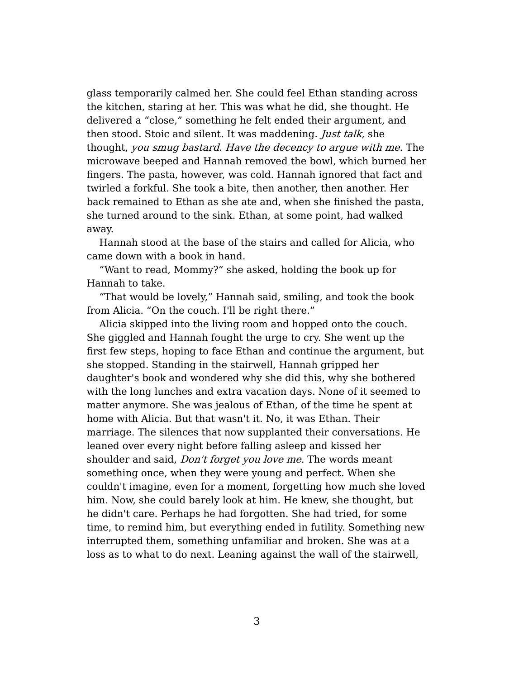glass temporarily calmed her. She could feel Ethan standing across the kitchen, staring at her. This was what he did, she thought. He delivered a "close," something he felt ended their argument, and then stood. Stoic and silent. It was maddening. *Just talk*, she thought, you smug bastard. Have the decency to argue with me. The microwave beeped and Hannah removed the bowl, which burned her fingers. The pasta, however, was cold. Hannah ignored that fact and twirled a forkful. She took a bite, then another, then another. Her back remained to Ethan as she ate and, when she finished the pasta, she turned around to the sink. Ethan, at some point, had walked away.

Hannah stood at the base of the stairs and called for Alicia, who came down with a book in hand.

"Want to read, Mommy?" she asked, holding the book up for Hannah to take.

"That would be lovely," Hannah said, smiling, and took the book from Alicia. "On the couch. I'll be right there."

Alicia skipped into the living room and hopped onto the couch. She giggled and Hannah fought the urge to cry. She went up the first few steps, hoping to face Ethan and continue the argument, but she stopped. Standing in the stairwell, Hannah gripped her daughter's book and wondered why she did this, why she bothered with the long lunches and extra vacation days. None of it seemed to matter anymore. She was jealous of Ethan, of the time he spent at home with Alicia. But that wasn't it. No, it was Ethan. Their marriage. The silences that now supplanted their conversations. He leaned over every night before falling asleep and kissed her shoulder and said, Don't forget you love me. The words meant something once, when they were young and perfect. When she couldn't imagine, even for a moment, forgetting how much she loved him. Now, she could barely look at him. He knew, she thought, but he didn't care. Perhaps he had forgotten. She had tried, for some time, to remind him, but everything ended in futility. Something new interrupted them, something unfamiliar and broken. She was at a loss as to what to do next. Leaning against the wall of the stairwell,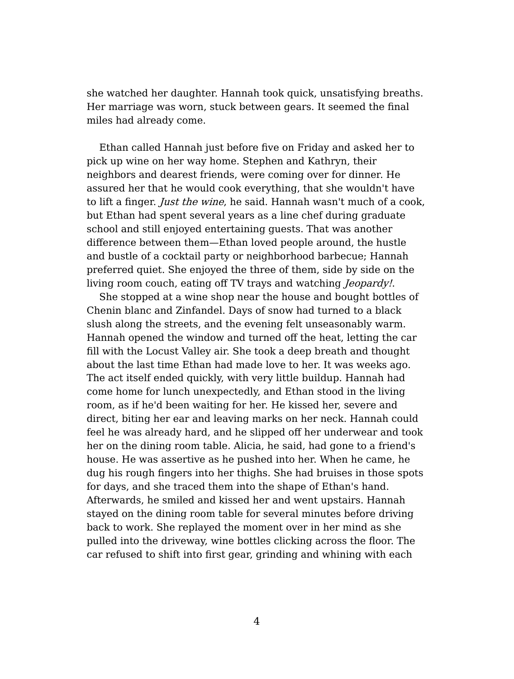she watched her daughter. Hannah took quick, unsatisfying breaths. Her marriage was worn, stuck between gears. It seemed the final miles had already come.

Ethan called Hannah just before five on Friday and asked her to pick up wine on her way home. Stephen and Kathryn, their neighbors and dearest friends, were coming over for dinner. He assured her that he would cook everything, that she wouldn't have to lift a finger. Just the wine, he said. Hannah wasn't much of a cook, but Ethan had spent several years as a line chef during graduate school and still enjoyed entertaining guests. That was another difference between them—Ethan loved people around, the hustle and bustle of a cocktail party or neighborhood barbecue; Hannah preferred quiet. She enjoyed the three of them, side by side on the living room couch, eating off TV trays and watching *Jeopardy!*.

She stopped at a wine shop near the house and bought bottles of Chenin blanc and Zinfandel. Days of snow had turned to a black slush along the streets, and the evening felt unseasonably warm. Hannah opened the window and turned off the heat, letting the car fill with the Locust Valley air. She took a deep breath and thought about the last time Ethan had made love to her. It was weeks ago. The act itself ended quickly, with very little buildup. Hannah had come home for lunch unexpectedly, and Ethan stood in the living room, as if he'd been waiting for her. He kissed her, severe and direct, biting her ear and leaving marks on her neck. Hannah could feel he was already hard, and he slipped off her underwear and took her on the dining room table. Alicia, he said, had gone to a friend's house. He was assertive as he pushed into her. When he came, he dug his rough fingers into her thighs. She had bruises in those spots for days, and she traced them into the shape of Ethan's hand. Afterwards, he smiled and kissed her and went upstairs. Hannah stayed on the dining room table for several minutes before driving back to work. She replayed the moment over in her mind as she pulled into the driveway, wine bottles clicking across the floor. The car refused to shift into first gear, grinding and whining with each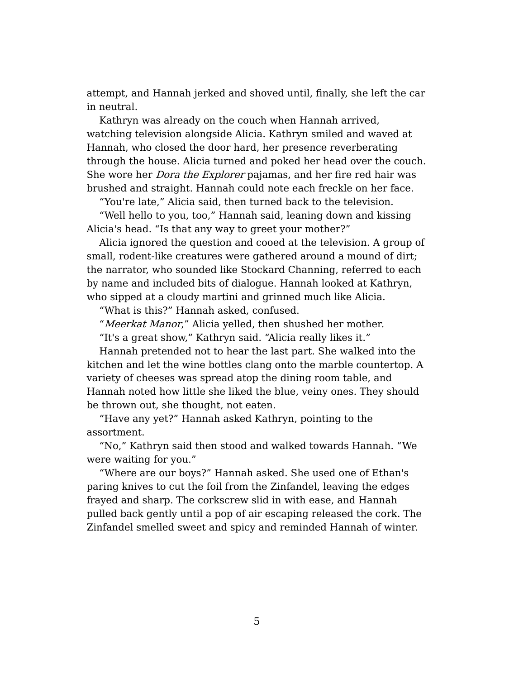attempt, and Hannah jerked and shoved until, finally, she left the car in neutral.

Kathryn was already on the couch when Hannah arrived, watching television alongside Alicia. Kathryn smiled and waved at Hannah, who closed the door hard, her presence reverberating through the house. Alicia turned and poked her head over the couch. She wore her *Dora the Explorer* pajamas, and her fire red hair was brushed and straight. Hannah could note each freckle on her face.

"You're late," Alicia said, then turned back to the television.

"Well hello to you, too," Hannah said, leaning down and kissing Alicia's head. "Is that any way to greet your mother?"

Alicia ignored the question and cooed at the television. A group of small, rodent-like creatures were gathered around a mound of dirt; the narrator, who sounded like Stockard Channing, referred to each by name and included bits of dialogue. Hannah looked at Kathryn, who sipped at a cloudy martini and grinned much like Alicia.

"What is this?" Hannah asked, confused.

"Meerkat Manor," Alicia yelled, then shushed her mother.

"It's a great show," Kathryn said. "Alicia really likes it."

Hannah pretended not to hear the last part. She walked into the kitchen and let the wine bottles clang onto the marble countertop. A variety of cheeses was spread atop the dining room table, and Hannah noted how little she liked the blue, veiny ones. They should be thrown out, she thought, not eaten.

"Have any yet?" Hannah asked Kathryn, pointing to the assortment.

"No," Kathryn said then stood and walked towards Hannah. "We were waiting for you."

"Where are our boys?" Hannah asked. She used one of Ethan's paring knives to cut the foil from the Zinfandel, leaving the edges frayed and sharp. The corkscrew slid in with ease, and Hannah pulled back gently until a pop of air escaping released the cork. The Zinfandel smelled sweet and spicy and reminded Hannah of winter.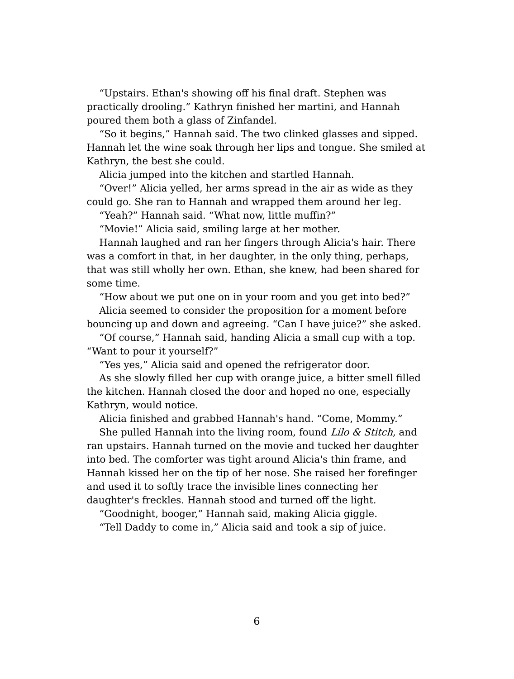"Upstairs. Ethan's showing off his final draft. Stephen was practically drooling." Kathryn finished her martini, and Hannah poured them both a glass of Zinfandel.

"So it begins," Hannah said. The two clinked glasses and sipped. Hannah let the wine soak through her lips and tongue. She smiled at Kathryn, the best she could.

Alicia jumped into the kitchen and startled Hannah.

"Over!" Alicia yelled, her arms spread in the air as wide as they could go. She ran to Hannah and wrapped them around her leg.

"Yeah?" Hannah said. "What now, little muffin?"

"Movie!" Alicia said, smiling large at her mother.

Hannah laughed and ran her fingers through Alicia's hair. There was a comfort in that, in her daughter, in the only thing, perhaps, that was still wholly her own. Ethan, she knew, had been shared for some time.

"How about we put one on in your room and you get into bed?"

Alicia seemed to consider the proposition for a moment before bouncing up and down and agreeing. "Can I have juice?" she asked.

"Of course," Hannah said, handing Alicia a small cup with a top. "Want to pour it yourself?"

"Yes yes," Alicia said and opened the refrigerator door.

As she slowly filled her cup with orange juice, a bitter smell filled the kitchen. Hannah closed the door and hoped no one, especially Kathryn, would notice.

Alicia finished and grabbed Hannah's hand. "Come, Mommy."

She pulled Hannah into the living room, found Lilo & Stitch, and ran upstairs. Hannah turned on the movie and tucked her daughter into bed. The comforter was tight around Alicia's thin frame, and Hannah kissed her on the tip of her nose. She raised her forefinger and used it to softly trace the invisible lines connecting her daughter's freckles. Hannah stood and turned off the light.

"Goodnight, booger," Hannah said, making Alicia giggle.

"Tell Daddy to come in," Alicia said and took a sip of juice.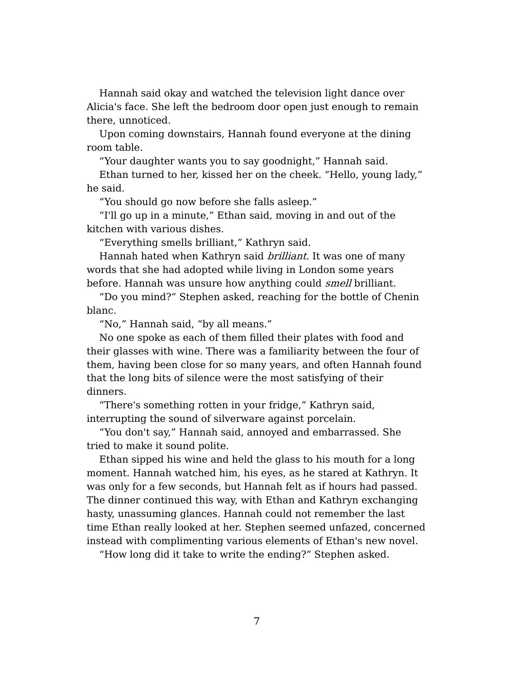Hannah said okay and watched the television light dance over Alicia's face. She left the bedroom door open just enough to remain there, unnoticed.

Upon coming downstairs, Hannah found everyone at the dining room table.

"Your daughter wants you to say goodnight," Hannah said.

Ethan turned to her, kissed her on the cheek. "Hello, young lady," he said.

"You should go now before she falls asleep."

"I'll go up in a minute," Ethan said, moving in and out of the kitchen with various dishes.

"Everything smells brilliant," Kathryn said.

Hannah hated when Kathryn said *brilliant*. It was one of many words that she had adopted while living in London some years before. Hannah was unsure how anything could *smell* brilliant.

"Do you mind?" Stephen asked, reaching for the bottle of Chenin blanc.

"No," Hannah said, "by all means."

No one spoke as each of them filled their plates with food and their glasses with wine. There was a familiarity between the four of them, having been close for so many years, and often Hannah found that the long bits of silence were the most satisfying of their dinners.

"There's something rotten in your fridge," Kathryn said, interrupting the sound of silverware against porcelain.

"You don't say," Hannah said, annoyed and embarrassed. She tried to make it sound polite.

Ethan sipped his wine and held the glass to his mouth for a long moment. Hannah watched him, his eyes, as he stared at Kathryn. It was only for a few seconds, but Hannah felt as if hours had passed. The dinner continued this way, with Ethan and Kathryn exchanging hasty, unassuming glances. Hannah could not remember the last time Ethan really looked at her. Stephen seemed unfazed, concerned instead with complimenting various elements of Ethan's new novel.

"How long did it take to write the ending?" Stephen asked.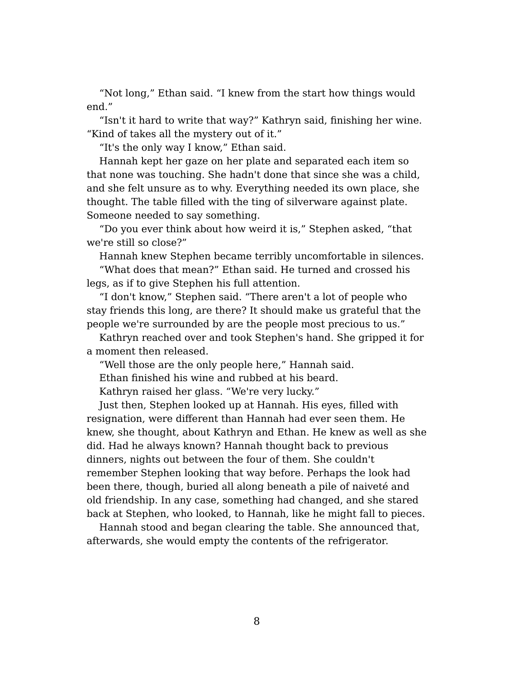"Not long," Ethan said. "I knew from the start how things would end."

"Isn't it hard to write that way?" Kathryn said, finishing her wine. "Kind of takes all the mystery out of it."

"It's the only way I know," Ethan said.

Hannah kept her gaze on her plate and separated each item so that none was touching. She hadn't done that since she was a child, and she felt unsure as to why. Everything needed its own place, she thought. The table filled with the ting of silverware against plate. Someone needed to say something.

"Do you ever think about how weird it is," Stephen asked, "that we're still so close?"

Hannah knew Stephen became terribly uncomfortable in silences.

"What does that mean?" Ethan said. He turned and crossed his legs, as if to give Stephen his full attention.

"I don't know," Stephen said. "There aren't a lot of people who stay friends this long, are there? It should make us grateful that the people we're surrounded by are the people most precious to us."

Kathryn reached over and took Stephen's hand. She gripped it for a moment then released.

"Well those are the only people here," Hannah said.

Ethan finished his wine and rubbed at his beard.

Kathryn raised her glass. "We're very lucky."

Just then, Stephen looked up at Hannah. His eyes, filled with resignation, were different than Hannah had ever seen them. He knew, she thought, about Kathryn and Ethan. He knew as well as she did. Had he always known? Hannah thought back to previous dinners, nights out between the four of them. She couldn't remember Stephen looking that way before. Perhaps the look had been there, though, buried all along beneath a pile of naiveté and old friendship. In any case, something had changed, and she stared back at Stephen, who looked, to Hannah, like he might fall to pieces.

Hannah stood and began clearing the table. She announced that, afterwards, she would empty the contents of the refrigerator.